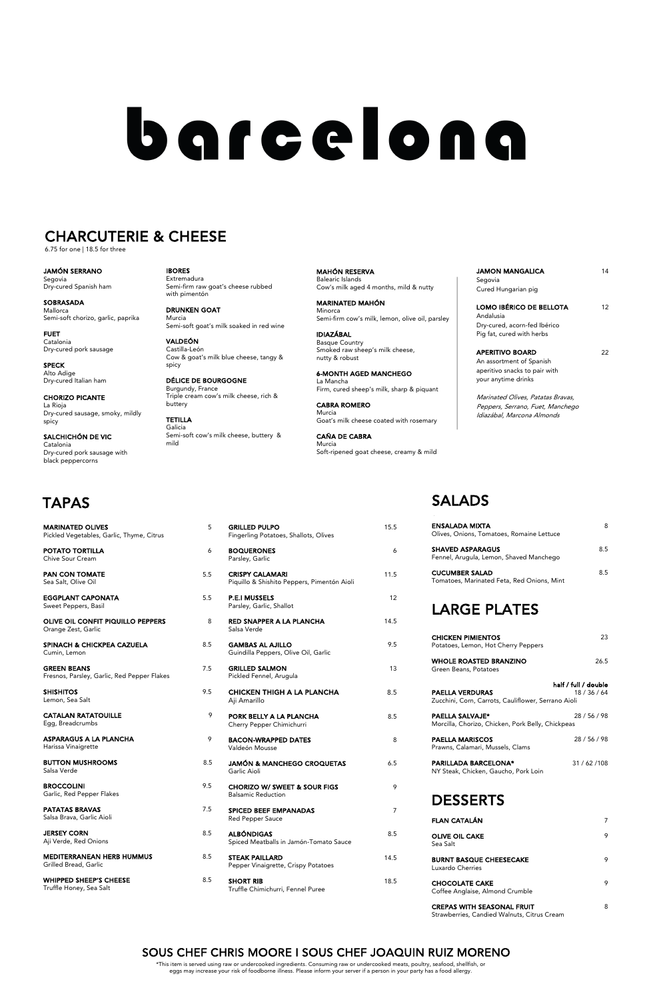# barcelona

## CHARCUTERIE & CHEESE  $\overline{a}$

|   | <b>GRILLED PULPO</b><br>Fingerling Potatoes, Shallots, Olives         | 15.5 |
|---|-----------------------------------------------------------------------|------|
|   | <b>BOQUERONES</b><br>Parsley, Garlic                                  | 6    |
|   | <b>CRISPY CALAMARI</b><br>Piquillo & Shishito Peppers, Pimentón Aioli | 11.5 |
|   | <b>P.E.I MUSSELS</b><br>Parsley, Garlic, Shallot                      | 12   |
|   | <b>RED SNAPPER A LA PLANCHA</b><br>Salsa Verde                        | 14.5 |
|   | <b>GAMBAS AL AJILLO</b><br>Guindilla Peppers, Olive Oil, Garlic       | 9.5  |
|   | <b>GRILLED SALMON</b><br>Pickled Fennel, Arugula                      | 13   |
|   | <b>CHICKEN THIGH A LA PLANCHA</b><br>Aji Amarillo                     | 8.5  |
| ∍ | PORK BELLY A LA PLANCHA<br>Cherry Pepper Chimichurri                  | 8.5  |

- BACON-WRAPPED DATES 8 Valdeón Mousse
- JAMÓN & MANCHEGO CROQUETAS 6.5 Garlic Aioli
- CHORIZO W/ SWEET & SOUR FIGS 9 Balsamic Reduction
- SPICED BEEF EMPANADAS 7 Red Pepper Sauce
- ALBÓNDIGAS 8.5 Spiced Meatballs in Jamón-Tomato Sauce
- STEAK PAILLARD 14.5 Pepper Vinaigrette, Crispy Potatoes
- SHORT RIB 18.5 Truffle Chimichurri, Fennel Puree

BUTTON MUSHROOMS 8.5 Salsa Verde

BROCCOLINI 9.5 Garlic, Red Pepper Flakes

**PATATAS BRAVAS** 7.5 Salsa Brava, Garlic Aioli

**JERSEY CORN** 8.5 Aji Verde, Red Onions

MEDITERRANEAN HERB HUMMUS 8.5 Grilled Bread, Garlic

WHIPPED SHEEP'S CHEESE 8.5 Truffle Honey, Sea Salt

**PAELLA MARISCOS** 28 / 56 / 98 Prawns, Calamari, Mussels, Clams

PARILLADA BARCELONA\* 31/62/108 NY Steak, Chicken, Gaucho, Pork Loin

OLIVE OIL CAKE 9 Sea Salt

- BURNT BASQUE CHEESECAKE 9 Luxardo Cherries
- CHOCOLATE CAKE 9 Coffee Anglaise, Almond Crumble

CREPAS WITH SEASONAL FRUIT 8 Strawberries, Candied Walnuts, Citrus Cream

ASPARAGUS A LA PLANCHA 9 Harissa Vinaigrette

APERITIVO BOARD 22 An assortment of Spanish aperitivo snacks to pair with your anytime drinks

| ENSALADA MIXTA<br>Olives, Onions, Tomatoes, Romaine Lettuce         | 8                                    |
|---------------------------------------------------------------------|--------------------------------------|
| <b>SHAVED ASPARAGUS</b><br>Fennel, Arugula, Lemon, Shaved Manchego  | 8.5                                  |
| <b>CUCUMBER SALAD</b><br>Tomatoes, Marinated Feta, Red Onions, Mint | 8.5                                  |
| <b>LARGE PLATES</b>                                                 |                                      |
| <b>CHICKEN PIMIENTOS</b><br>Potatoes, Lemon, Hot Cherry Peppers     | 23                                   |
| <b>WHOLE ROASTED BRANZINO</b><br>Green Beans, Potatoes              | 26.5                                 |
| <b>PAELLA VERDURAS</b>                                              | half / full / double<br>18 / 36 / 64 |

Zucchini, Corn, Carrots, Cauliflower, Serrano Aioli

PAELLA SALVAJE\* 28 / 56 / 98 Morcilla, Chorizo, Chicken, Pork Belly, Chickpeas

#### DESSERTS

FLAN CATALÁN 7

MAHÓN RESERVA Balearic Islands Cow's milk aged 4 months, mild & nutty

| <b>MARINATED OLIVES</b><br>Pickled Vegetables, Garlic, Thyme, Citrus | 5   |
|----------------------------------------------------------------------|-----|
| <b>POTATO TORTILLA</b><br>Chive Sour Cream                           | 6   |
| <b>PAN CON TOMATE</b><br>Sea Salt, Olive Oil                         | 5.5 |
| <b>EGGPLANT CAPONATA</b><br>Sweet Peppers, Basil                     | 5.5 |
| <b>OLIVE OIL CONFIT PIQUILLO PEPPERS</b><br>Orange Zest, Garlic      | 8   |
| <b>SPINACH &amp; CHICKPEA CAZUELA</b><br>Cumin, Lemon                | 8.5 |
| <b>GREEN BEANS</b><br>Fresnos, Parsley, Garlic, Red Pepper Flakes    | 7.5 |
| <b>SHISHITOS</b><br>Lemon, Sea Salt                                  | 9.5 |
| <b>CATALAN RATATOUILLE</b><br>Egg, Breadcrumbs                       | 9   |

MARINATED MAHÓN Minorca Semi-firm cow's milk, lemon, olive oil, parsley

IDIAZÁBAL Basque Country Smoked raw sheep's milk cheese, nutty & robust

6-MONTH AGED MANCHEGO La Mancha Firm, cured sheep's milk, sharp & piquant

CABRA ROMERO Murcia Goat's milk cheese coated with rosemary

CAÑA DE CABRA Murcia Soft-ripened goat cheese, creamy & mild

IBORES Extremadura Semi-firm raw goat's cheese rubbed with pimentón

DRUNKEN GOAT Murcia Semi-soft goat's milk soaked in red wine

VALDEÓN Castilla-León Cow & goat's milk blue cheese, tangy & spicy

DÉLICE DE BOURGOGNE Burgundy, France Triple cream cow's milk cheese, rich & buttery

TETILLA Galicia Semi-soft cow's milk cheese, buttery & mild

| <b>JAMON MANGALICA</b>  | 14 |
|-------------------------|----|
| Segovia                 |    |
| Cured Hungarian pig     |    |
| LOMO IBÉRICO DE BELLOTA | 12 |
| Andalusia               |    |

Dry-cured, acorn-fed Ibérico Pig fat, cured with herbs

Marinated Olives, Patatas Bravas, Peppers, Serrano, Fuet, Manchego Idiazábal, Marcona Almonds

#### JAMÓN SERRANO

Segovia Dry-cured Spanish ham

SOBRASADA Mallorca Semi-soft chorizo, garlic, paprika

FUET Catalonia Dry-cured pork sausage

SPECK Alto Adige Dry-cured Italian ham

CHORIZO PICANTE La Rioja Dry-cured sausage, smoky, mildly spicy

SALCHICHÓN DE VIC Catalonia Dry-cured pork sausage with black peppercorns

> \*This item is served using raw or undercooked ingredients. Consuming raw or undercooked meats, poultry, seafood, shellfish, or eggs may increase your risk of foodborne illness. Please inform your server if a person in your party has a food allergy.

#### SOUS CHEF CHRIS MOORE I SOUS CHEF JOAQUIN RUIZ MORENO

#### TAPAS

#### SALADS